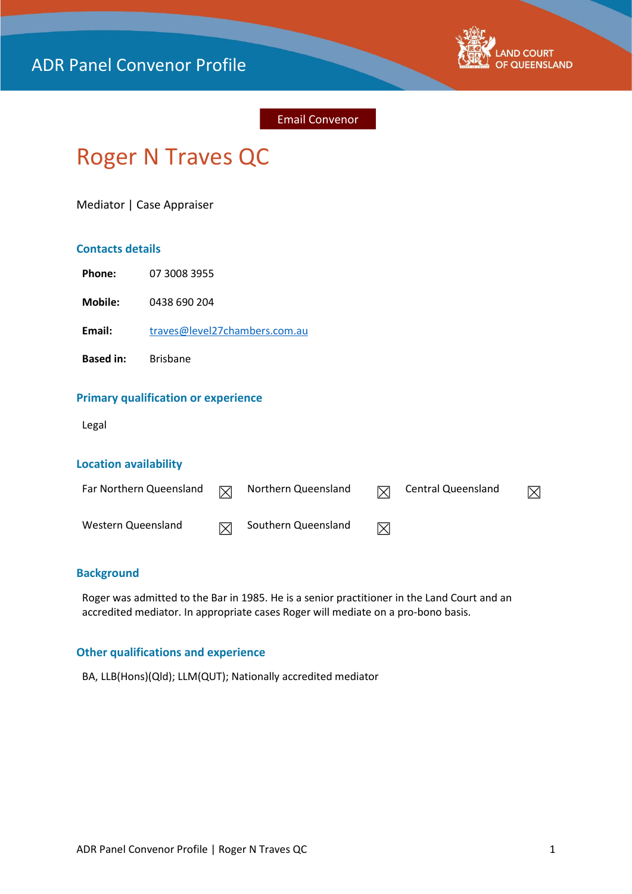

Email Convenor

# Roger N Traves QC

Mediator | Case Appraiser

#### **Contacts details**

**Phone:** 07 3008 3955

**Mobile:** 0438 690 204

**Email:** [traves@level27chambers.com.au](mailto:traves@level27chambers.com.au)

**Based in:** Brisbane

#### **Primary qualification or experience**

Legal

#### **Location availability**

| Far Northern Queensland | $\triangledown$ | Northern Queensland | $\boxtimes$ | Central Queensland |  |
|-------------------------|-----------------|---------------------|-------------|--------------------|--|
| Western Queensland      | M               | Southern Queensland | $\boxtimes$ |                    |  |

#### **Background**

Roger was admitted to the Bar in 1985. He is a senior practitioner in the Land Court and an accredited mediator. In appropriate cases Roger will mediate on a pro-bono basis.

#### **Other qualifications and experience**

BA, LLB(Hons)(Qld); LLM(QUT); Nationally accredited mediator